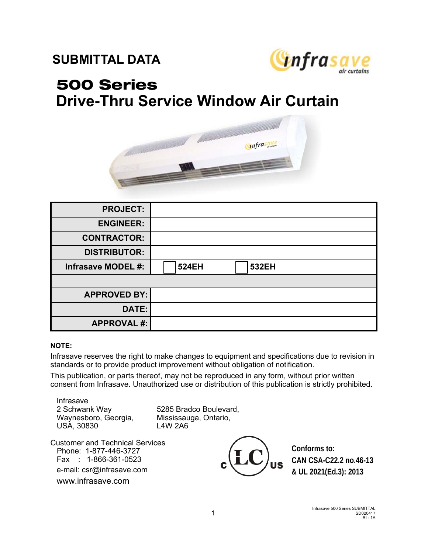## **SUBMITTAL DATA**



## 500 Series **Drive-Thru Service Window Air Curtain**



| <b>PROJECT:</b>           |                              |
|---------------------------|------------------------------|
| <b>ENGINEER:</b>          |                              |
| <b>CONTRACTOR:</b>        |                              |
| <b>DISTRIBUTOR:</b>       |                              |
| <b>Infrasave MODEL #:</b> | <b>524EH</b><br><b>532EH</b> |
|                           |                              |
| <b>APPROVED BY:</b>       |                              |
| DATE:                     |                              |
| <b>APPROVAL #:</b>        |                              |

## **NOTE:**

Infrasave reserves the right to make changes to equipment and specifications due to revision in standards or to provide product improvement without obligation of notification.

This publication, or parts thereof, may not be reproduced in any form, without prior written consent from Infrasave. Unauthorized use or distribution of this publication is strictly prohibited.

Infrasave Waynesboro, Georgia, Mississauga, Ontario, USA, 30830 L4W 2A6

2 Schwank Way 5285 Bradco Boulevard,

Customer and Technical Services Phone: 1-877-446-3727 Fax : 1-866-361-0523 e-mail: csr@infrasave.com www.infrasave.com



**Conforms to: CAN CSA-C22.2 no.46-13 & UL 2021(Ed.3): 2013**